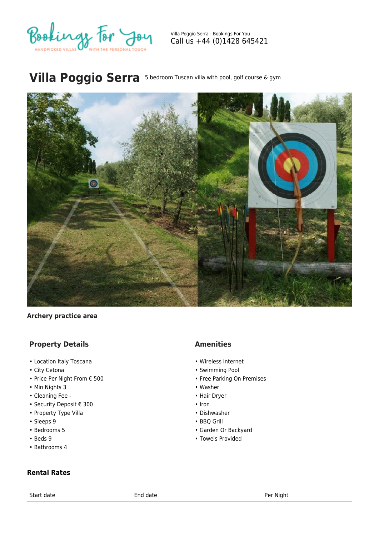

Villa Poggio Serra - Bookings For You Call us +44 (0)1428 645421

# **Villa Poggio Serra** 5 bedroom Tuscan villa with pool, golf course & gym



#### **Archery practice area**

## **Property Details**

- Location Italy Toscana
- City Cetona
- Price Per Night From € 500
- Min Nights 3
- Cleaning Fee -
- Security Deposit € 300
- Property Type Villa
- Sleeps 9
- Bedrooms 5
- Beds 9
- Bathrooms 4

#### **Rental Rates**

Start date entitled and the End date entitled and the Per Night

## **Amenities**

- Wireless Internet
- Swimming Pool
- Free Parking On Premises
- Washer
- Hair Dryer
- Iron
- Dishwasher
- BBQ Grill
- Garden Or Backyard
- Towels Provided